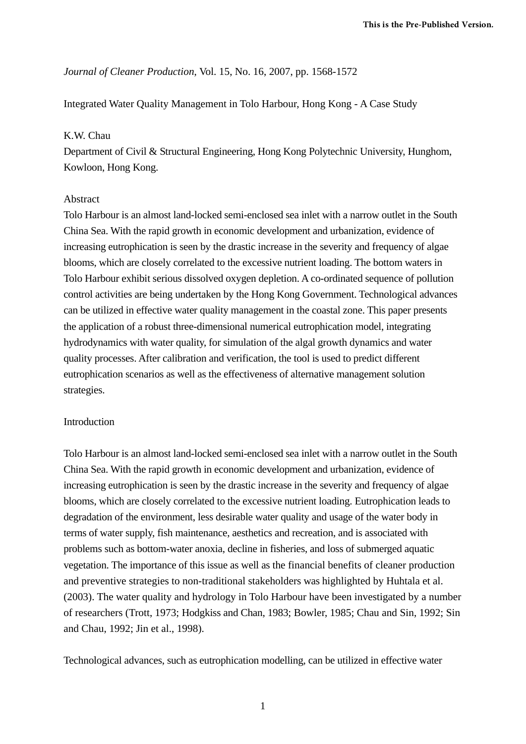*Journal of Cleaner Production*, Vol. 15, No. 16, 2007, pp. 1568-1572

Integrated Water Quality Management in Tolo Harbour, Hong Kong - A Case Study

### K.W. Chau

Department of Civil & Structural Engineering, Hong Kong Polytechnic University, Hunghom, Kowloon, Hong Kong.

## Abstract

Tolo Harbour is an almost land-locked semi-enclosed sea inlet with a narrow outlet in the South China Sea. With the rapid growth in economic development and urbanization, evidence of increasing eutrophication is seen by the drastic increase in the severity and frequency of algae blooms, which are closely correlated to the excessive nutrient loading. The bottom waters in Tolo Harbour exhibit serious dissolved oxygen depletion. A co-ordinated sequence of pollution control activities are being undertaken by the Hong Kong Government. Technological advances can be utilized in effective water quality management in the coastal zone. This paper presents the application of a robust three-dimensional numerical eutrophication model, integrating hydrodynamics with water quality, for simulation of the algal growth dynamics and water quality processes. After calibration and verification, the tool is used to predict different eutrophication scenarios as well as the effectiveness of alternative management solution strategies.

### **Introduction**

Tolo Harbour is an almost land-locked semi-enclosed sea inlet with a narrow outlet in the South China Sea. With the rapid growth in economic development and urbanization, evidence of increasing eutrophication is seen by the drastic increase in the severity and frequency of algae blooms, which are closely correlated to the excessive nutrient loading. Eutrophication leads to degradation of the environment, less desirable water quality and usage of the water body in terms of water supply, fish maintenance, aesthetics and recreation, and is associated with problems such as bottom-water anoxia, decline in fisheries, and loss of submerged aquatic vegetation. The importance of this issue as well as the financial benefits of cleaner production and preventive strategies to non-traditional stakeholders was highlighted by Huhtala et al. (2003). The water quality and hydrology in Tolo Harbour have been investigated by a number of researchers (Trott, 1973; Hodgkiss and Chan, 1983; Bowler, 1985; Chau and Sin, 1992; Sin and Chau, 1992; Jin et al., 1998).

Technological advances, such as eutrophication modelling, can be utilized in effective water

1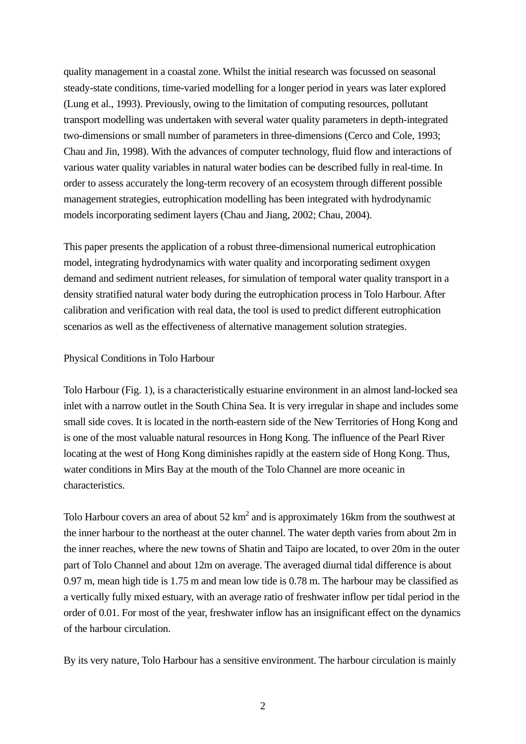quality management in a coastal zone. Whilst the initial research was focussed on seasonal steady-state conditions, time-varied modelling for a longer period in years was later explored (Lung et al., 1993). Previously, owing to the limitation of computing resources, pollutant transport modelling was undertaken with several water quality parameters in depth-integrated two-dimensions or small number of parameters in three-dimensions (Cerco and Cole, 1993; Chau and Jin, 1998). With the advances of computer technology, fluid flow and interactions of various water quality variables in natural water bodies can be described fully in real-time. In order to assess accurately the long-term recovery of an ecosystem through different possible management strategies, eutrophication modelling has been integrated with hydrodynamic models incorporating sediment layers (Chau and Jiang, 2002; Chau, 2004).

This paper presents the application of a robust three-dimensional numerical eutrophication model, integrating hydrodynamics with water quality and incorporating sediment oxygen demand and sediment nutrient releases, for simulation of temporal water quality transport in a density stratified natural water body during the eutrophication process in Tolo Harbour. After calibration and verification with real data, the tool is used to predict different eutrophication scenarios as well as the effectiveness of alternative management solution strategies.

### Physical Conditions in Tolo Harbour

Tolo Harbour (Fig. 1), is a characteristically estuarine environment in an almost land-locked sea inlet with a narrow outlet in the South China Sea. It is very irregular in shape and includes some small side coves. It is located in the north-eastern side of the New Territories of Hong Kong and is one of the most valuable natural resources in Hong Kong. The influence of the Pearl River locating at the west of Hong Kong diminishes rapidly at the eastern side of Hong Kong. Thus, water conditions in Mirs Bay at the mouth of the Tolo Channel are more oceanic in characteristics.

Tolo Harbour covers an area of about  $52 \text{ km}^2$  and is approximately 16km from the southwest at the inner harbour to the northeast at the outer channel. The water depth varies from about 2m in the inner reaches, where the new towns of Shatin and Taipo are located, to over 20m in the outer part of Tolo Channel and about 12m on average. The averaged diurnal tidal difference is about 0.97 m, mean high tide is 1.75 m and mean low tide is 0.78 m. The harbour may be classified as a vertically fully mixed estuary, with an average ratio of freshwater inflow per tidal period in the order of 0.01. For most of the year, freshwater inflow has an insignificant effect on the dynamics of the harbour circulation.

By its very nature, Tolo Harbour has a sensitive environment. The harbour circulation is mainly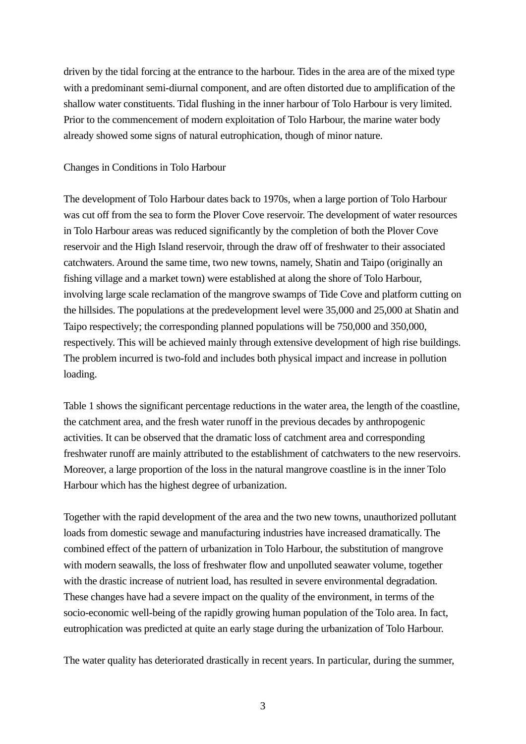driven by the tidal forcing at the entrance to the harbour. Tides in the area are of the mixed type with a predominant semi-diurnal component, and are often distorted due to amplification of the shallow water constituents. Tidal flushing in the inner harbour of Tolo Harbour is very limited. Prior to the commencement of modern exploitation of Tolo Harbour, the marine water body already showed some signs of natural eutrophication, though of minor nature.

Changes in Conditions in Tolo Harbour

The development of Tolo Harbour dates back to 1970s, when a large portion of Tolo Harbour was cut off from the sea to form the Plover Cove reservoir. The development of water resources in Tolo Harbour areas was reduced significantly by the completion of both the Plover Cove reservoir and the High Island reservoir, through the draw off of freshwater to their associated catchwaters. Around the same time, two new towns, namely, Shatin and Taipo (originally an fishing village and a market town) were established at along the shore of Tolo Harbour, involving large scale reclamation of the mangrove swamps of Tide Cove and platform cutting on the hillsides. The populations at the predevelopment level were 35,000 and 25,000 at Shatin and Taipo respectively; the corresponding planned populations will be 750,000 and 350,000, respectively. This will be achieved mainly through extensive development of high rise buildings. The problem incurred is two-fold and includes both physical impact and increase in pollution loading.

Table 1 shows the significant percentage reductions in the water area, the length of the coastline, the catchment area, and the fresh water runoff in the previous decades by anthropogenic activities. It can be observed that the dramatic loss of catchment area and corresponding freshwater runoff are mainly attributed to the establishment of catchwaters to the new reservoirs. Moreover, a large proportion of the loss in the natural mangrove coastline is in the inner Tolo Harbour which has the highest degree of urbanization.

Together with the rapid development of the area and the two new towns, unauthorized pollutant loads from domestic sewage and manufacturing industries have increased dramatically. The combined effect of the pattern of urbanization in Tolo Harbour, the substitution of mangrove with modern seawalls, the loss of freshwater flow and unpolluted seawater volume, together with the drastic increase of nutrient load, has resulted in severe environmental degradation. These changes have had a severe impact on the quality of the environment, in terms of the socio-economic well-being of the rapidly growing human population of the Tolo area. In fact, eutrophication was predicted at quite an early stage during the urbanization of Tolo Harbour.

The water quality has deteriorated drastically in recent years. In particular, during the summer,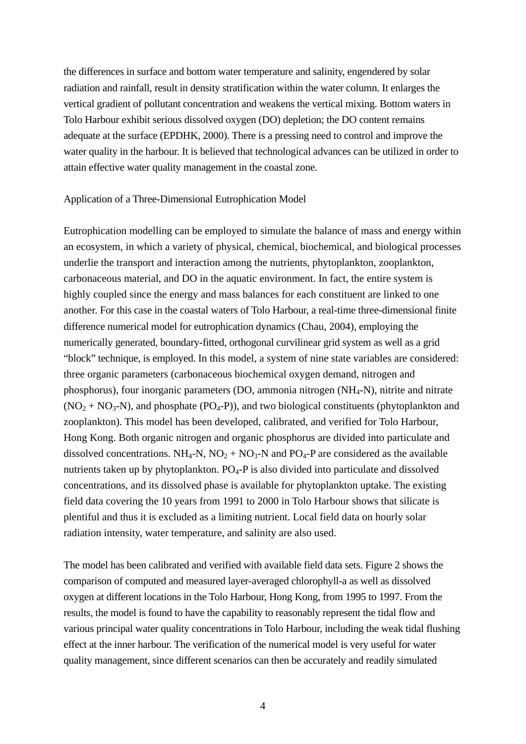the differences in surface and bottom water temperature and salinity, engendered by solar radiation and rainfall, result in density stratification within the water column. It enlarges the vertical gradient of pollutant concentration and weakens the vertical mixing. Bottom waters in Tolo Harbour exhibit serious dissolved oxygen (DO) depletion; the DO content remains adequate at the surface (EPDHK, 2000). There is a pressing need to control and improve the water quality in the harbour. It is believed that technological advances can be utilized in order to attain effective water quality management in the coastal zone.

#### Application of a Three-Dimensional Eutrophication Model

Eutrophication modelling can be employed to simulate the balance of mass and energy within an ecosystem, in which a variety of physical, chemical, biochemical, and biological processes underlie the transport and interaction among the nutrients, phytoplankton, zooplankton, carbonaceous material, and DO in the aquatic environment. In fact, the entire system is highly coupled since the energy and mass balances for each constituent are linked to one another. For this case in the coastal waters of Tolo Harbour, a real-time three-dimensional finite difference numerical model for eutrophication dynamics (Chau, 2004), employing the numerically generated, boundary-fitted, orthogonal curvilinear grid system as well as a grid "block" technique, is employed. In this model, a system of nine state variables are considered: three organic parameters (carbonaceous biochemical oxygen demand, nitrogen and phosphorus), four inorganic parameters (DO, ammonia nitrogen (NH4-N), nitrite and nitrate  $(NO<sub>2</sub> + NO<sub>3</sub>-N)$ , and phosphate  $(PO<sub>4</sub>-P)$ ), and two biological constituents (phytoplankton and zooplankton). This model has been developed, calibrated, and verified for Tolo Harbour, Hong Kong. Both organic nitrogen and organic phosphorus are divided into particulate and dissolved concentrations.  $NH_4-N$ ,  $NO_2 + NO_3-N$  and  $PO_4-P$  are considered as the available nutrients taken up by phytoplankton.  $PQ_4-P$  is also divided into particulate and dissolved concentrations, and its dissolved phase is available for phytoplankton uptake. The existing field data covering the 10 years from 1991 to 2000 in Tolo Harbour shows that silicate is plentiful and thus it is excluded as a limiting nutrient. Local field data on hourly solar radiation intensity, water temperature, and salinity are also used.

The model has been calibrated and verified with available field data sets. Figure 2 shows the comparison of computed and measured layer-averaged chlorophyll-a as well as dissolved oxygen at different locations in the Tolo Harbour, Hong Kong, from 1995 to 1997. From the results, the model is found to have the capability to reasonably represent the tidal flow and various principal water quality concentrations in Tolo Harbour, including the weak tidal flushing effect at the inner harbour. The verification of the numerical model is very useful for water quality management, since different scenarios can then be accurately and readily simulated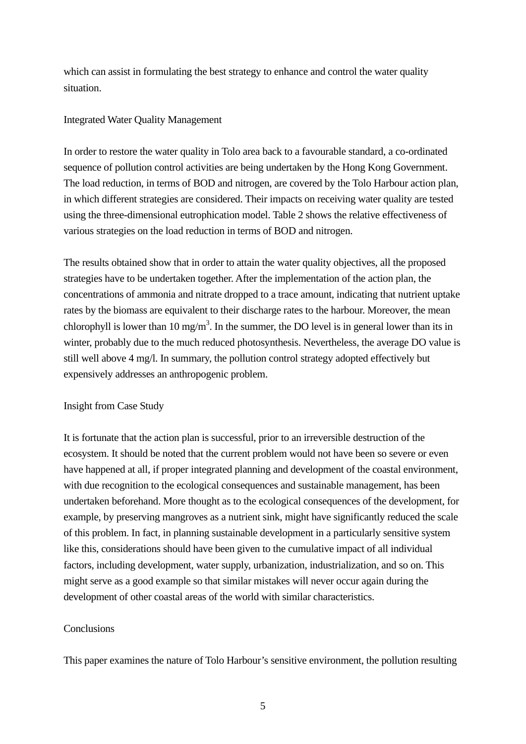which can assist in formulating the best strategy to enhance and control the water quality situation.

# Integrated Water Quality Management

In order to restore the water quality in Tolo area back to a favourable standard, a co-ordinated sequence of pollution control activities are being undertaken by the Hong Kong Government. The load reduction, in terms of BOD and nitrogen, are covered by the Tolo Harbour action plan, in which different strategies are considered. Their impacts on receiving water quality are tested using the three-dimensional eutrophication model. Table 2 shows the relative effectiveness of various strategies on the load reduction in terms of BOD and nitrogen.

The results obtained show that in order to attain the water quality objectives, all the proposed strategies have to be undertaken together. After the implementation of the action plan, the concentrations of ammonia and nitrate dropped to a trace amount, indicating that nutrient uptake rates by the biomass are equivalent to their discharge rates to the harbour. Moreover, the mean chlorophyll is lower than 10 mg/m<sup>3</sup>. In the summer, the DO level is in general lower than its in winter, probably due to the much reduced photosynthesis. Nevertheless, the average DO value is still well above 4 mg/l. In summary, the pollution control strategy adopted effectively but expensively addresses an anthropogenic problem.

# Insight from Case Study

It is fortunate that the action plan is successful, prior to an irreversible destruction of the ecosystem. It should be noted that the current problem would not have been so severe or even have happened at all, if proper integrated planning and development of the coastal environment, with due recognition to the ecological consequences and sustainable management, has been undertaken beforehand. More thought as to the ecological consequences of the development, for example, by preserving mangroves as a nutrient sink, might have significantly reduced the scale of this problem. In fact, in planning sustainable development in a particularly sensitive system like this, considerations should have been given to the cumulative impact of all individual factors, including development, water supply, urbanization, industrialization, and so on. This might serve as a good example so that similar mistakes will never occur again during the development of other coastal areas of the world with similar characteristics.

# Conclusions

This paper examines the nature of Tolo Harbour's sensitive environment, the pollution resulting

5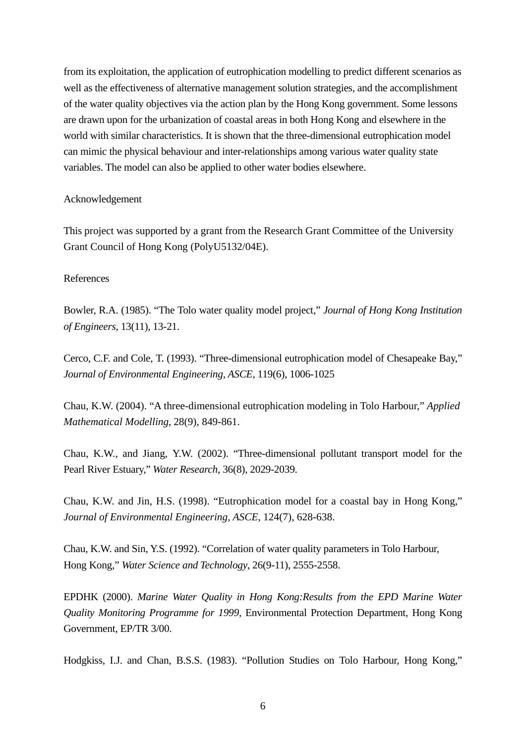from its exploitation, the application of eutrophication modelling to predict different scenarios as well as the effectiveness of alternative management solution strategies, and the accomplishment of the water quality objectives via the action plan by the Hong Kong government. Some lessons are drawn upon for the urbanization of coastal areas in both Hong Kong and elsewhere in the world with similar characteristics. It is shown that the three-dimensional eutrophication model can mimic the physical behaviour and inter-relationships among various water quality state variables. The model can also be applied to other water bodies elsewhere.

#### Acknowledgement

This project was supported by a grant from the Research Grant Committee of the University Grant Council of Hong Kong (PolyU5132/04E).

#### References

Bowler, R.A. (1985). "The Tolo water quality model project," *Journal of Hong Kong Institution of Engineers*, 13(11), 13-21.

Cerco, C.F. and Cole, T. (1993). "Three-dimensional eutrophication model of Chesapeake Bay," *Journal of Environmental Engineering, ASCE,* 119(6), 1006-1025

Chau, K.W. (2004). "A three-dimensional eutrophication modeling in Tolo Harbour," *Applied Mathematical Modelling*, 28(9), 849-861.

Chau, K.W., and Jiang, Y.W. (2002). "Three-dimensional pollutant transport model for the Pearl River Estuary," *Water Research*, 36(8), 2029-2039.

Chau, K.W. and Jin, H.S. (1998). "Eutrophication model for a coastal bay in Hong Kong," *Journal of Environmental Engineering, ASCE*, 124(7), 628-638.

Chau, K.W. and Sin, Y.S. (1992). "Correlation of water quality parameters in Tolo Harbour, Hong Kong," *Water Science and Technology*, 26(9-11), 2555-2558.

EPDHK (2000). *Marine Water Quality in Hong Kong:Results from the EPD Marine Water Quality Monitoring Programme for 1999,* Environmental Protection Department, Hong Kong Government, EP/TR 3/00.

Hodgkiss, I.J. and Chan, B.S.S. (1983). "Pollution Studies on Tolo Harbour, Hong Kong,"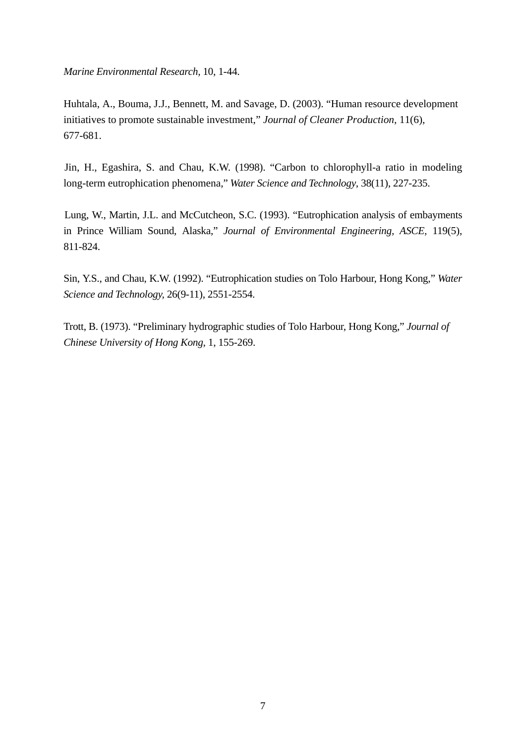*Marine Environmental Research,* 10, 1-44.

Huhtala, A., Bouma, J.J., Bennett, M. and Savage, D. (2003). "Human resource development initiatives to promote sustainable investment," *Journal of Cleaner Production*, 11(6), 677-681.

Jin, H., Egashira, S. and Chau, K.W. (1998). "Carbon to chlorophyll-a ratio in modeling long-term eutrophication phenomena," *Water Science and Technology*, 38(11), 227-235.

Lung, W., Martin, J.L. and McCutcheon, S.C. (1993). "Eutrophication analysis of embayments in Prince William Sound, Alaska," *Journal of Environmental Engineering, ASCE,* 119(5), 811-824.

Sin, Y.S., and Chau, K.W. (1992). "Eutrophication studies on Tolo Harbour, Hong Kong," *Water Science and Technology,* 26(9-11), 2551-2554.

Trott, B. (1973). "Preliminary hydrographic studies of Tolo Harbour, Hong Kong," *Journal of Chinese University of Hong Kong*, 1, 155-269.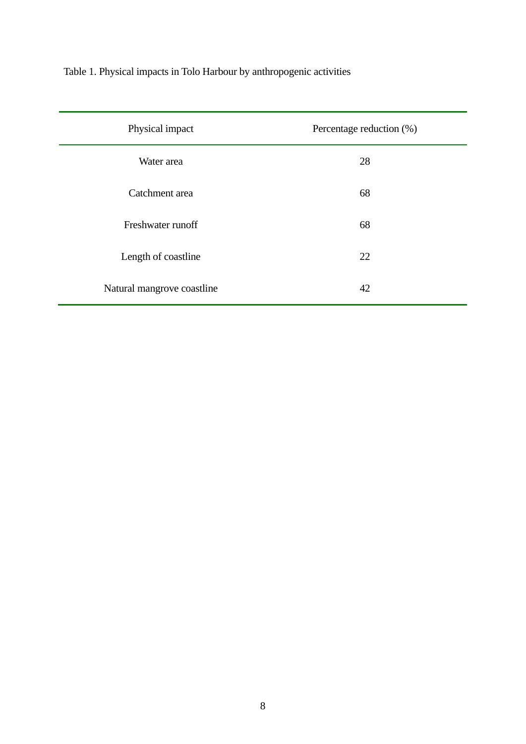Table 1. Physical impacts in Tolo Harbour by anthropogenic activities

| Physical impact            | Percentage reduction (%) |  |
|----------------------------|--------------------------|--|
| Water area                 | 28                       |  |
| Catchment area             | 68                       |  |
| Freshwater runoff          | 68                       |  |
| Length of coastline        | 22                       |  |
| Natural mangrove coastline | 42                       |  |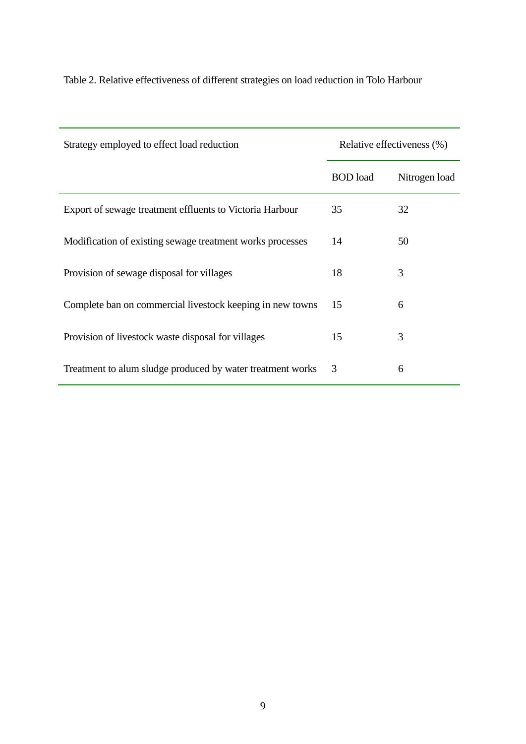| Strategy employed to effect load reduction                 | Relative effectiveness (%) |               |
|------------------------------------------------------------|----------------------------|---------------|
|                                                            | <b>BOD</b> load            | Nitrogen load |
| Export of sewage treatment effluents to Victoria Harbour   | 35                         | 32            |
| Modification of existing sewage treatment works processes  | 14                         | 50            |
| Provision of sewage disposal for villages                  | 18                         | 3             |
| Complete ban on commercial livestock keeping in new towns  | 15                         | 6             |
| Provision of livestock waste disposal for villages         | 15                         | 3             |
| Treatment to alum sludge produced by water treatment works | 3                          | 6             |

Table 2. Relative effectiveness of different strategies on load reduction in Tolo Harbour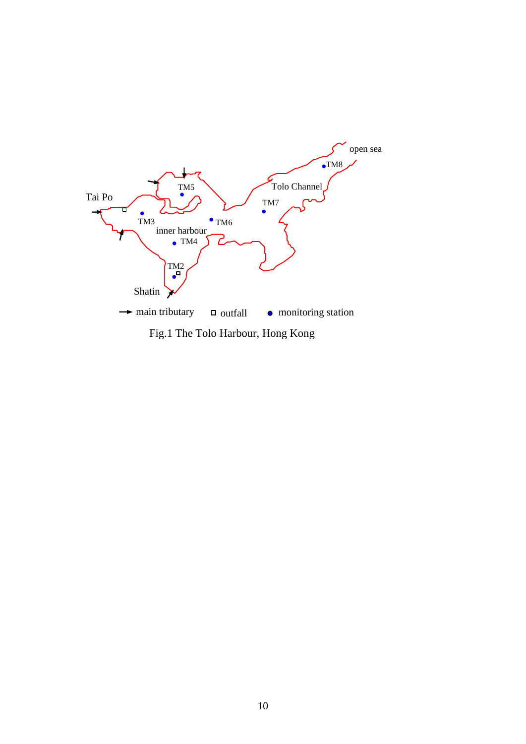